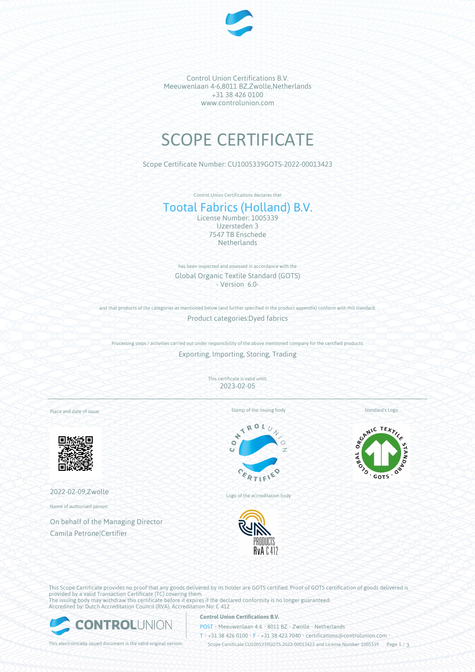

Control Union Certifications B.V. Meeuwenlaan 4-6,8011 BZ,Zwolle,Netherlands +31 38 426 0100 www.controlunion.com

# SCOPE CERTIFICATE

Scope Certificate Number: CU1005339GOTS-2022-00013423

Control Union Certifications declares that

# Tootal Fabrics (Holland) B.V.

License Number: 1005339 IJzersteden 3 7547 TB Enschede **Netherlands** 

has been inspected and assessed in accordance with the Global Organic Textile Standard (GOTS) - Version 6.0-

and that products of the categories as mentioned below (and further specified in the product appendix) conform with this standard. Product categories:Dyed fabrics

Processing steps / activities carried out under responsibility of the above mentioned company for the certified products: Exporting, Importing, Storing, Trading

> This certificate is valid until: 2023-02-05

Place and date of issue:



2022-02-09,Zwolle

Name of authorised person:

On behalf of the Managing Director Camila Petrone|Certifier

Stamp of the issuing body



Logo of the accreditation body



Standard's Logo



This Scope Certificate provides no proof that any goods delivered by its holder are GOTS certified. Proof of GOTS certification of goods delivered is provided by a valid Transaction Certificate (TC) covering them. The issuing body may withdraw this certificate before it expires if the declared conformity is no longer guaranteed. Accredited by: Dutch Accreditation Council (RVA), Accreditation No: C 412



# **Control Union Certifications B.V.**

POST • Meeuwenlaan 4-6 • 8011 BZ • Zwolle • Netherlands

T • +31 38 426 0100 • F • +31 38 423 7040 • certifications@controlunion.com •

This electronically issued document is the valid original version. Scope Certificate CU1005339GOTS-2022-00013423 and License Number 1005339 Page 1 / 3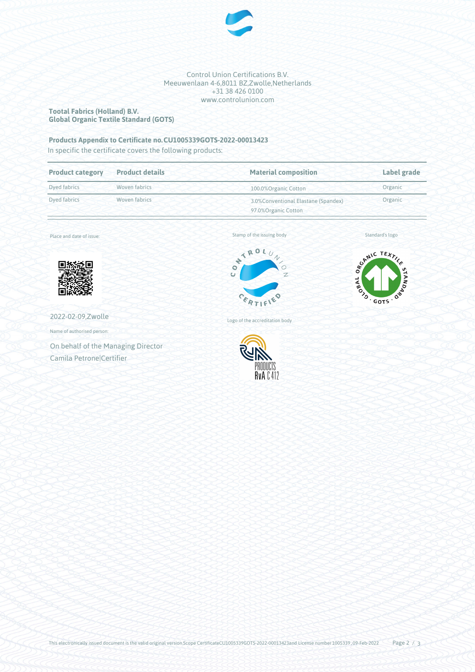

Control Union Certifications B.V. Meeuwenlaan 4-6,8011 BZ,Zwolle,Netherlands +31 38 426 0100 www.controlunion.com

## **Tootal Fabrics (Holland) B.V. Global Organic Textile Standard (GOTS)**

# **Products Appendix to Certificate no.CU1005339GOTS-2022-00013423**

In specific the certificate covers the following products:

| <b>Product category</b>       | <b>Product details</b> | <b>Material composition</b>                                  | Label grade |
|-------------------------------|------------------------|--------------------------------------------------------------|-------------|
| Dyed fabrics                  | Woven fabrics          | 100.0% Organic Cotton                                        | Organic     |
| Woven fabrics<br>Dyed fabrics |                        | 3.0% Conventional Elastane (Spandex)<br>97.0% Organic Cotton | Organic     |

Place and date of issue:



2022-02-09,Zwolle

Name of authorised person:

On behalf of the Managing Director Camila Petrone|Certifier

Stamp of the issuing body



Standard's logo



Logo of the accreditation body